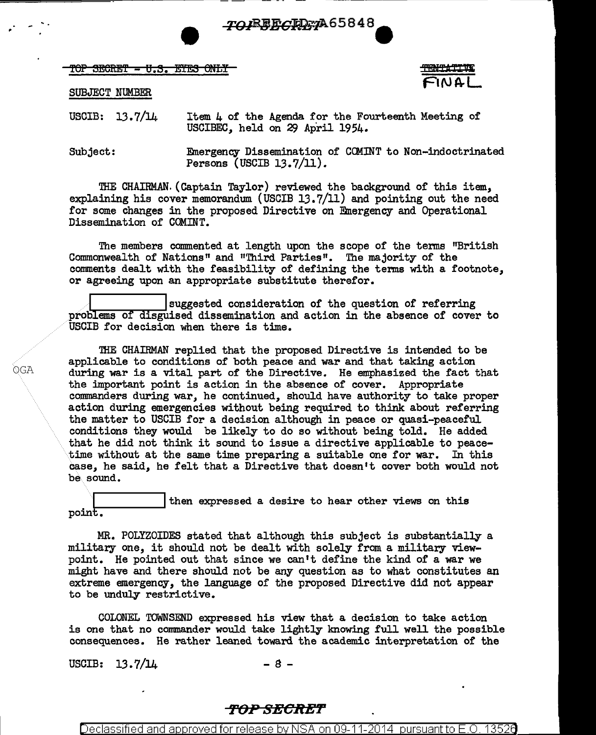TO REFORD 7A65848

TOP SECRET - U.S. EYES ONLY

SUBJECT NUMBER

USCIB: 13.7/14 Item  $\mu$  of the Agenda for the Fourteenth Meeting of USCIBEC, held on 29 April  $1954$ .

Subject: Emergency Dissemination of COMINT to Non-indoctrinated Persons (USCIB 13.7/11).

THE CHAIRMAN. (Captain Taylor) reviewed the background of this item, explaining his cover memorandum (USCIB  $13.7/11$ ) and pointing out the need for some changes in the proposed Directive on Emergency and Operational Dissemination of COMINT.

The members commented at length upon the scope of the terms "British Commonwealth of Nations" and "Third Parties". The majority of the comments dealt with the feasibility of defining the tenns with a footnote, or agreeing upon an appropriate substitute therefor.

suggested consideration of the question of referring problems of disguised dissemination and action in the absence of cover to USCIB for decision when there is time.

'!HE CHAIRMAN replied that the proposed Directive is intended to be applicable to conditions of both peace and war and that taking action during war is a vital part of the Directive. He emphasized the fact that the important point is action in the absence of cover. Appropriate commanders during war, he continued, should have authority to take proper action during emergencies without being required to think about referring the matter to USCIB for a decision although in peace or quasi-peaceful conditions they would be likely to do so without being told. He added that he did not think it sound to issue a directive applicable to peacetime without at the same time preparing a suitable one for war. In this case, he said, he felt that a Directive that doesn't cover both would not be.sound.

then expressed a desire to hear other views on this point.

MR. POLYZOIDES stated that although this subject is substantially a military one, it should not be dealt with solely from a military viewpoint. He pointed out that since we can't define the kind of a war we might have and there should not be any question as to what constitutes an extreme emergency, the language of the proposed Directive did not appear to be unduly restrictive.

COLONEL TOWNSEND expressed his view that a decision to take action is one that no commander would take lightly knowing full well the possible consequences. He rather leaned toward the academic interpretation of the

USCIB:  $13.7/14$  - 8 -

## <del>TOP SECRET</del>

Declassified and approved for release by NSA on 09-11-2014  $\,$  pursuant to E.O.  $\,$ 

OGA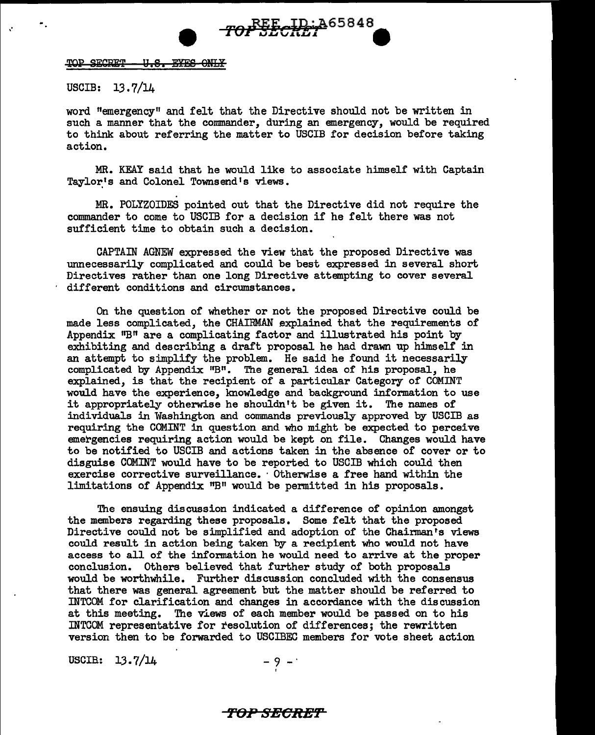

#### USCIB: 13.7/14

word "emergency" and felt that the Directive should not be written in such a manner that the commander, during an emergency, would be required to think about referring the matter to USCIB for decision before taking action.

*rof SECRET* ... 465848

MR. KEAY said that he would like to associate himself with Captain Taylor's and Colonel Townsend's views.

MR. POLYZOIDES pointed out that the Directive did not require the commander to come to USCIB for a decision if he felt there was not sufficient time to obtain such a decision.

CAPTAIN AGNEW expressed the view that the proposed Directive was unnecessarily complicated and could be best expressed in several short Directives rather than one long Directive attempting to cover several different conditions and circumstances.

On the question of whether or not the proposed Directive could be made less complicated, the CHAIRMAN explained that the requirements of Appendix "B" are a complicating factor and illustrated his point by exhibiting and describing a draft proposal he had drawn up himself in an attempt to simplify the problem. He said he found it necessarily complicated by Appendix  $"B"$ . The general idea of his proposal, he explained, is that the recipient of a particular Category of COMINT would have the experience, knowledge and background information to use it appropriately otherwise he shouldn't be given it. The names of individuals in Washington and commands previously approved by USCIB as requiring the COM.INT in question and who might be expected to perceive emergencies requiring action would be kept on file. Changes would have to be notified to USCIB and actions taken in the absence of cover or to disguise COMINT would have to be reported to USCIB which could then exercise corrective surveillance. · Otherwise a free hand within the limitations of Appendix "B" would be permitted in his proposals.

The ensuing discussion indicated a difference of opinion amongst the members regarding these proposals. Some felt that the proposed Directive could not be simplified and adoption of the Chairman's views could result in action being taken by a recipient who would not have access to all of the information he would need to arrive at the proper conclusion. Others believed that further study of both proposals would be worthwhile. Further discussion concluded with the consensus that there was general agreement but the matter should be referred to INTCOM for clarification and changes in accordance with the discussion at this meeting. The views of each member would be passed on to his INTCOM representative for resolution of differences; the rewritten version then to be forwarded to USCIBEC members for vote sheet action

USCIB:  $13.7/14$  -9 -

#### **f'OP SBCR'E'I'**